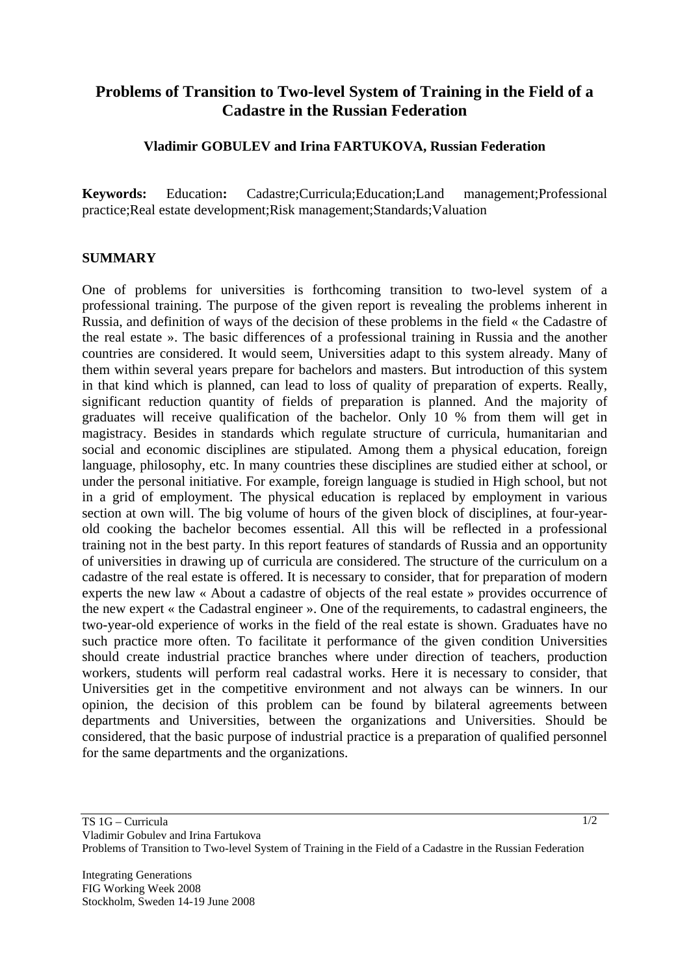## **Problems of Transition to Two-level System of Training in the Field of a Cadastre in the Russian Federation**

## **Vladimir GOBULEV and Irina FARTUKOVA, Russian Federation**

**Keywords:** Education**:** Cadastre;Curricula;Education;Land management;Professional practice;Real estate development;Risk management;Standards;Valuation

## **SUMMARY**

One of problems for universities is forthcoming transition to two-level system of a professional training. The purpose of the given report is revealing the problems inherent in Russia, and definition of ways of the decision of these problems in the field « the Cadastre of the real estate ». The basic differences of a professional training in Russia and the another countries are considered. It would seem, Universities adapt to this system already. Many of them within several years prepare for bachelors and masters. But introduction of this system in that kind which is planned, can lead to loss of quality of preparation of experts. Really, significant reduction quantity of fields of preparation is planned. And the majority of graduates will receive qualification of the bachelor. Only 10 % from them will get in magistracy. Besides in standards which regulate structure of curricula, humanitarian and social and economic disciplines are stipulated. Among them a physical education, foreign language, philosophy, etc. In many countries these disciplines are studied either at school, or under the personal initiative. For example, foreign language is studied in High school, but not in a grid of employment. The physical education is replaced by employment in various section at own will. The big volume of hours of the given block of disciplines, at four-yearold cooking the bachelor becomes essential. All this will be reflected in a professional training not in the best party. In this report features of standards of Russia and an opportunity of universities in drawing up of curricula are considered. The structure of the curriculum on a cadastre of the real estate is offered. It is necessary to consider, that for preparation of modern experts the new law « About a cadastre of objects of the real estate » provides occurrence of the new expert « the Cadastral engineer ». One of the requirements, to cadastral engineers, the two-year-old experience of works in the field of the real estate is shown. Graduates have no such practice more often. To facilitate it performance of the given condition Universities should create industrial practice branches where under direction of teachers, production workers, students will perform real cadastral works. Here it is necessary to consider, that Universities get in the competitive environment and not always can be winners. In our opinion, the decision of this problem can be found by bilateral agreements between departments and Universities, between the organizations and Universities. Should be considered, that the basic purpose of industrial practice is a preparation of qualified personnel for the same departments and the organizations.